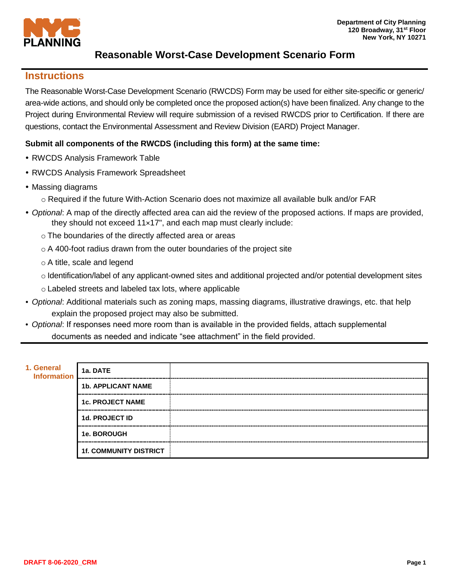

## **Instructions**

The Reasonable Worst-Case Development Scenario (RWCDS) Form may be used for either site-specific or generic/ area-wide actions, and should only be completed once the proposed action(s) have been finalized. Any change to the Project during Environmental Review will require submission of a revised RWCDS prior to Certification. If there are questions, contact the Environmental Assessment and Review Division (EARD) Project Manager.

## **Submit all components of the RWCDS (including this form) at the same time:**

- RWCDS Analysis Framework Table
- RWCDS Analysis Framework Spreadsheet
- Massing diagrams
	- o Required if the future With-Action Scenario does not maximize all available bulk and/or FAR
- *Optional*: A map of the directly affected area can aid the review of the proposed actions. If maps are provided, they should not exceed 11×17", and each map must clearly include:
	- o The boundaries of the directly affected area or areas
	- $\circ$  A 400-foot radius drawn from the outer boundaries of the project site
	- o A title, scale and legend
	- o Identification/label of any applicant-owned sites and additional projected and/or potential development sites
	- o Labeled streets and labeled tax lots, where applicable
- *Optional*: Additional materials such as zoning maps, massing diagrams, illustrative drawings, etc. that help explain the proposed project may also be submitted.
- *Optional*: If responses need more room than is available in the provided fields, attach supplemental documents as needed and indicate "see attachment" in the field provided.

| 1. General 1a. DATE |                               |  |
|---------------------|-------------------------------|--|
|                     | <b>1b. APPLICANT NAME</b>     |  |
|                     | <b>1c. PROJECT NAME</b>       |  |
|                     | <b>1d. PROJECT ID</b>         |  |
|                     | <b>1e. BOROUGH</b>            |  |
|                     | <b>1f. COMMUNITY DISTRICT</b> |  |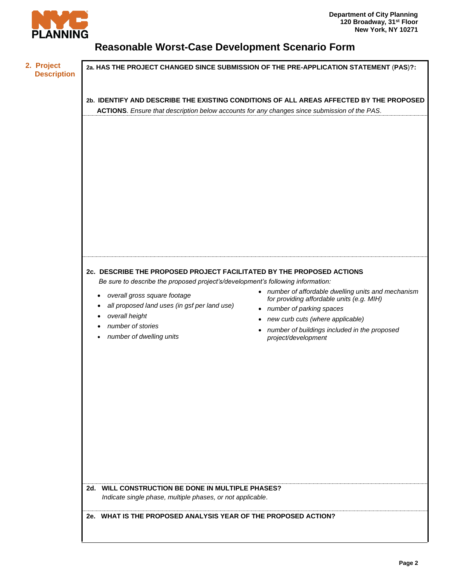

| 2. Project<br><b>Description</b> | 2a. HAS THE PROJECT CHANGED SINCE SUBMISSION OF THE PRE-APPLICATION STATEMENT (PAS)?:                                                                                                                                                                                                                                                                                                                                                                                                                                         |  |  |  |
|----------------------------------|-------------------------------------------------------------------------------------------------------------------------------------------------------------------------------------------------------------------------------------------------------------------------------------------------------------------------------------------------------------------------------------------------------------------------------------------------------------------------------------------------------------------------------|--|--|--|
|                                  | 2b. IDENTIFY AND DESCRIBE THE EXISTING CONDITIONS OF ALL AREAS AFFECTED BY THE PROPOSED<br>ACTIONS. Ensure that description below accounts for any changes since submission of the PAS.                                                                                                                                                                                                                                                                                                                                       |  |  |  |
|                                  | 2c. DESCRIBE THE PROPOSED PROJECT FACILITATED BY THE PROPOSED ACTIONS                                                                                                                                                                                                                                                                                                                                                                                                                                                         |  |  |  |
|                                  | Be sure to describe the proposed project's/development's following information:<br>• number of affordable dwelling units and mechanism<br>overall gross square footage<br>$\bullet$<br>for providing affordable units (e.g. MIH)<br>all proposed land uses (in gsf per land use)<br>٠<br>• number of parking spaces<br>overall height<br>• new curb cuts (where applicable)<br>number of stories<br>number of buildings included in the proposed<br>$\bullet$<br>number of dwelling units<br>project/development<br>$\bullet$ |  |  |  |
|                                  | 2d. WILL CONSTRUCTION BE DONE IN MULTIPLE PHASES?<br>Indicate single phase, multiple phases, or not applicable.                                                                                                                                                                                                                                                                                                                                                                                                               |  |  |  |
|                                  | 2e. WHAT IS THE PROPOSED ANALYSIS YEAR OF THE PROPOSED ACTION?                                                                                                                                                                                                                                                                                                                                                                                                                                                                |  |  |  |
|                                  |                                                                                                                                                                                                                                                                                                                                                                                                                                                                                                                               |  |  |  |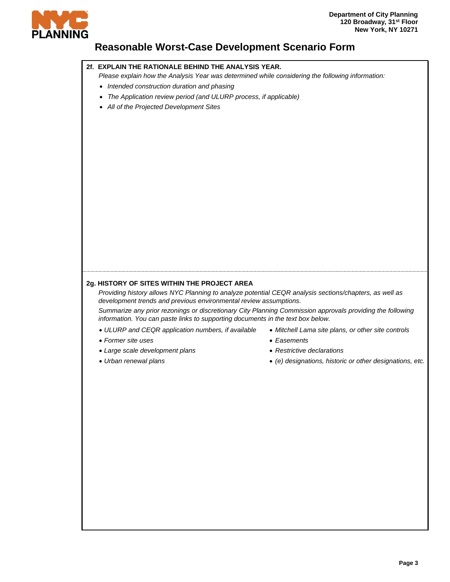

## **2f. EXPLAIN THE RATIONALE BEHIND THE ANALYSIS YEAR.**

*Please explain how the Analysis Year was determined while considering the following information:* 

- *Intended construction duration and phasing*
- *The Application review period (and ULURP process, if applicable)*
- *All of the Projected Development Sites*

### **2g. HISTORY OF SITES WITHIN THE PROJECT AREA**

*Providing history allows NYC Planning to analyze potential CEQR analysis sections/chapters, as well as development trends and previous environmental review assumptions.* 

*Summarize any prior rezonings or discretionary City Planning Commission approvals providing the following information. You can paste links to supporting documents in the text box below.* 

- *ULURP and CEQR application numbers, if available*
- *Former site uses*
- *Large scale development plans*
- *Urban renewal plans*
- *Mitchell Lama site plans, or other site controls*
- *Easements*
- *Restrictive declarations*
- *(e) designations, historic or other designations, etc.*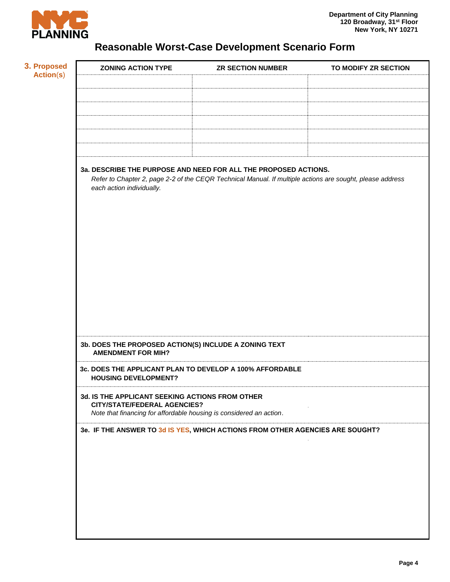

| 3a. DESCRIBE THE PURPOSE AND NEED FOR ALL THE PROPOSED ACTIONS.<br>Refer to Chapter 2, page 2-2 of the CEQR Technical Manual. If multiple actions are sought, please address<br>each action individually. |  |  |  |  |
|-----------------------------------------------------------------------------------------------------------------------------------------------------------------------------------------------------------|--|--|--|--|
| 3b. DOES THE PROPOSED ACTION(S) INCLUDE A ZONING TEXT<br><b>AMENDMENT FOR MIH?</b>                                                                                                                        |  |  |  |  |
| 3c. DOES THE APPLICANT PLAN TO DEVELOP A 100% AFFORDABLE<br><b>HOUSING DEVELOPMENT?</b>                                                                                                                   |  |  |  |  |
| 3d. IS THE APPLICANT SEEKING ACTIONS FROM OTHER<br><b>CITY/STATE/FEDERAL AGENCIES?</b><br>Note that financing for affordable housing is considered an action.                                             |  |  |  |  |
| 3e. IF THE ANSWER TO 3d IS YES, WHICH ACTIONS FROM OTHER AGENCIES ARE SOUGHT?                                                                                                                             |  |  |  |  |
|                                                                                                                                                                                                           |  |  |  |  |
|                                                                                                                                                                                                           |  |  |  |  |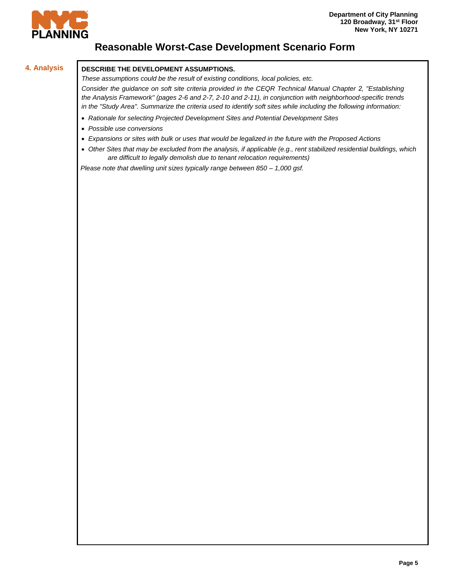

## **4. Analysis DESCRIBE THE DEVELOPMENT ASSUMPTIONS.**

*These assumptions could be the result of existing conditions, local policies, etc.* 

*Consider the guidance on soft site criteria provided in the CEQR Technical Manual Chapter 2, "Establishing the Analysis Framework" (pages 2-6 and 2-7, 2-10 and 2-11), in conjunction with neighborhood-specific trends in the "Study Area". Summarize the criteria used to identify soft sites while including the following information:* 

- *Rationale for selecting Projected Development Sites and Potential Development Sites*
- *Possible use conversions*
- *Expansions or sites with bulk or uses that would be legalized in the future with the Proposed Actions*
- *Other Sites that may be excluded from the analysis, if applicable (e.g., rent stabilized residential buildings, which are difficult to legally demolish due to tenant relocation requirements)*

*Please note that dwelling unit sizes typically range between 850 – 1,000 gsf.*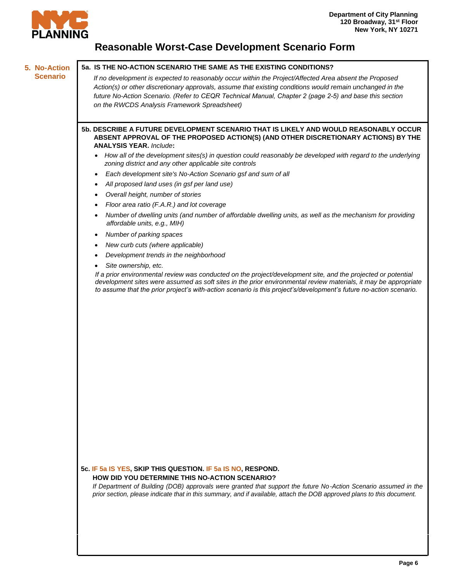

#### **5. No-Action Scenario**

**5a. IS THE NO-ACTION SCENARIO THE SAME AS THE EXISTING CONDITIONS?**

*If no development is expected to reasonably occur within the Project/Affected Area absent the Proposed Action(s) or other discretionary approvals, assume that existing conditions would remain unchanged in the future No-Action Scenario. (Refer to CEQR Technical Manual, Chapter 2 (page 2-5) and base this section on the RWCDS Analysis Framework Spreadsheet)*

**5b. DESCRIBE A FUTURE DEVELOPMENT SCENARIO THAT IS LIKELY AND WOULD REASONABLY OCCUR ABSENT APPROVAL OF THE PROPOSED ACTION(S) (AND OTHER DISCRETIONARY ACTIONS) BY THE ANALYSIS YEAR.** *Include***:** 

- *How all of the development sites(s) in question could reasonably be developed with regard to the underlying zoning district and any other applicable site controls*
- *Each development site's No-Action Scenario gsf and sum of all*
- *All proposed land uses (in gsf per land use)*
- *Overall height, number of stories*
- *Floor area ratio (F.A.R.) and lot coverage*
- *Number of dwelling units (and number of affordable dwelling units, as well as the mechanism for providing affordable units, e.g., MIH)*
- *Number of parking spaces*
- *New curb cuts (where applicable)*
- *Development trends in the neighborhood*
- *Site ownership, etc.*

*If a prior environmental review was conducted on the project/development site, and the projected or potential development sites were assumed as soft sites in the prior environmental review materials, it may be appropriate to assume that the prior project's with-action scenario is this project's/development's future no-action scenario.*

**5c. IF 5a IS YES, SKIP THIS QUESTION. IF 5a IS NO, RESPOND. HOW DID YOU DETERMINE THIS NO-ACTION SCENARIO?**

*If Department of Building (DOB) approvals were granted that support the future No-Action Scenario assumed in the prior section, please indicate that in this summary, and if available, attach the DOB approved plans to this document.*